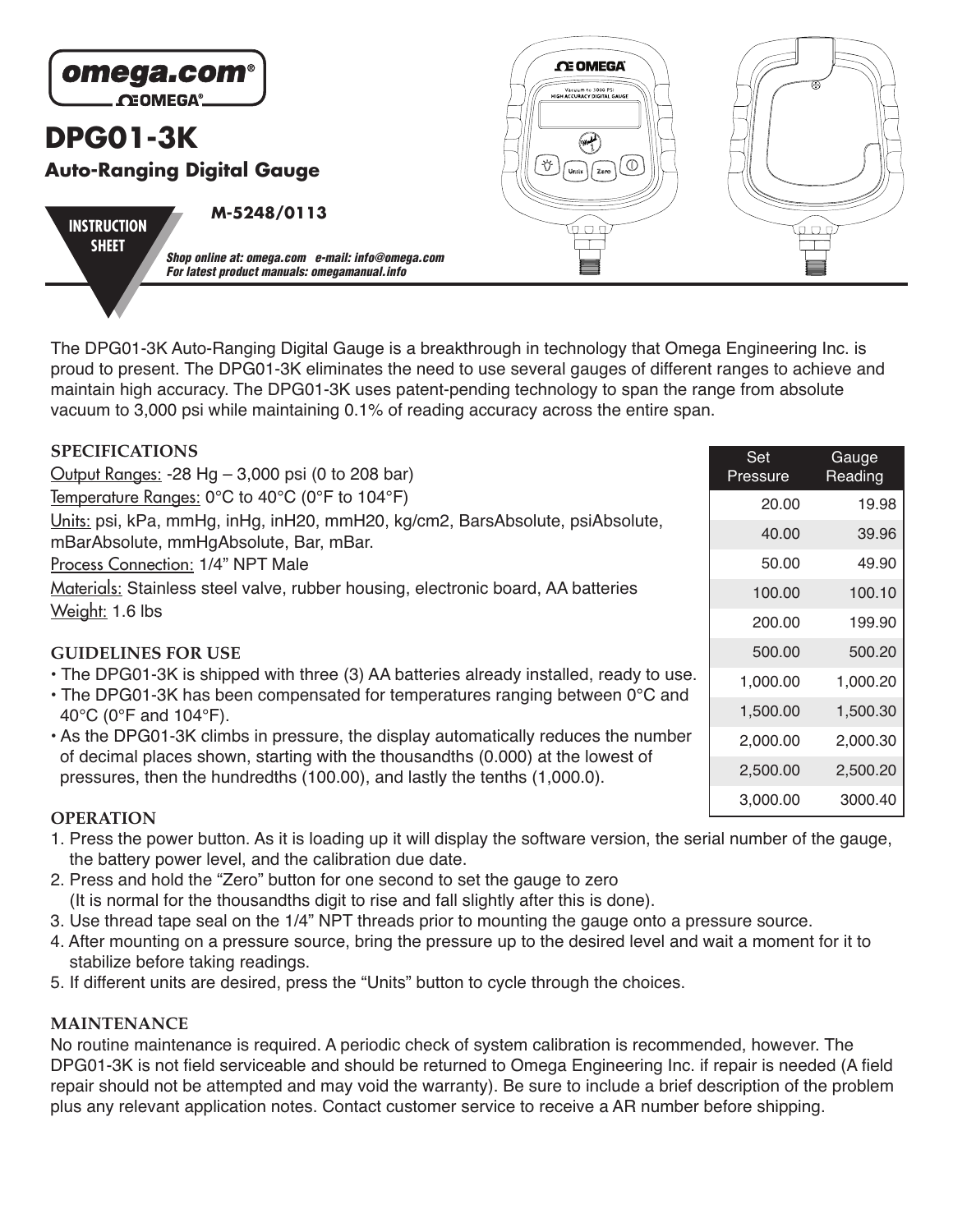

The DPG01-3K Auto-Ranging Digital Gauge is a breakthrough in technology that Omega Engineering Inc. is proud to present. The DPG01-3K eliminates the need to use several gauges of different ranges to achieve and maintain high accuracy. The DPG01-3K uses patent-pending technology to span the range from absolute vacuum to 3,000 psi while maintaining 0.1% of reading accuracy across the entire span.

| <b>SPECIFICATIONS</b>                                                                                                                                                  | Set      | Gauge    |
|------------------------------------------------------------------------------------------------------------------------------------------------------------------------|----------|----------|
| Output Ranges: $-28$ Hg $- 3,000$ psi (0 to 208 bar)                                                                                                                   | Pressure | Reading  |
| Temperature Ranges: 0°C to 40°C (0°F to 104°F)                                                                                                                         | 20.00    | 19.98    |
| Units: psi, kPa, mmHg, inHg, inH20, mmH20, kg/cm2, BarsAbsolute, psiAbsolute,                                                                                          | 40.00    | 39.96    |
| mBarAbsolute, mmHgAbsolute, Bar, mBar.                                                                                                                                 |          |          |
| Process Connection: 1/4" NPT Male                                                                                                                                      | 50.00    | 49.90    |
| Materials: Stainless steel valve, rubber housing, electronic board, AA batteries                                                                                       | 100.00   | 100.10   |
| Weight: 1.6 lbs                                                                                                                                                        |          | 199.90   |
| <b>GUIDELINES FOR USE</b>                                                                                                                                              | 500.00   | 500.20   |
| • The DPG01-3K is shipped with three (3) AA batteries already installed, ready to use.<br>• The DPG01-3K has been compensated for temperatures ranging between 0°C and |          | 1,000.20 |
| 40 $^{\circ}$ C (0 $^{\circ}$ F and 104 $^{\circ}$ F).                                                                                                                 | 1,500.00 | 1,500.30 |
| • As the DPG01-3K climbs in pressure, the display automatically reduces the number                                                                                     | 2,000.00 | 2,000.30 |
| of decimal places shown, starting with the thousandths (0.000) at the lowest of<br>pressures, then the hundredths (100.00), and lastly the tenths (1,000.0).           | 2,500.00 | 2,500.20 |
|                                                                                                                                                                        | 3,000.00 | 3000.40  |
| <b>OPERATION</b>                                                                                                                                                       |          |          |

- 1. Press the power button. As it is loading up it will display the software version, the serial number of the gauge, the battery power level, and the calibration due date.
- 2. Press and hold the "Zero" button for one second to set the gauge to zero (It is normal for the thousandths digit to rise and fall slightly after this is done).
- 3. Use thread tape seal on the 1/4" NPT threads prior to mounting the gauge onto a pressure source.
- 4. After mounting on a pressure source, bring the pressure up to the desired level and wait a moment for it to stabilize before taking readings.
- 5. If different units are desired, press the "Units" button to cycle through the choices.

## **MAINTENANCE**

No routine maintenance is required. A periodic check of system calibration is recommended, however. The DPG01-3K is not field serviceable and should be returned to Omega Engineering Inc. if repair is needed (A field repair should not be attempted and may void the warranty). Be sure to include a brief description of the problem plus any relevant application notes. Contact customer service to receive a AR number before shipping.